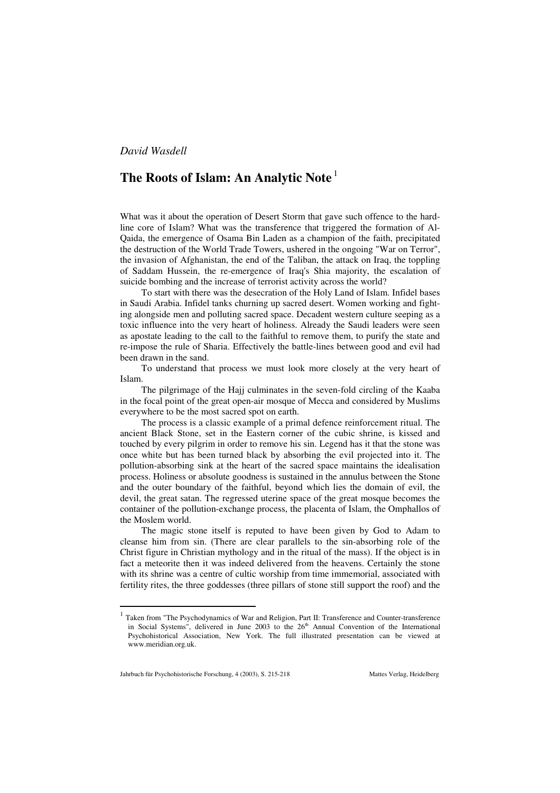## **The Roots of Islam: An Analytic Note** <sup>1</sup>

What was it about the operation of Desert Storm that gave such offence to the hardline core of Islam? What was the transference that triggered the formation of Al-Qaida, the emergence of Osama Bin Laden as a champion of the faith, precipitated the destruction of the World Trade Towers, ushered in the ongoing "War on Terror", the invasion of Afghanistan, the end of the Taliban, the attack on Iraq, the toppling of Saddam Hussein, the re-emergence of Iraq's Shia majority, the escalation of suicide bombing and the increase of terrorist activity across the world?

To start with there was the desecration of the Holy Land of Islam. Infidel bases in Saudi Arabia. Infidel tanks churning up sacred desert. Women working and fighting alongside men and polluting sacred space. Decadent western culture seeping as a toxic influence into the very heart of holiness. Already the Saudi leaders were seen as apostate leading to the call to the faithful to remove them, to purify the state and re-impose the rule of Sharia. Effectively the battle-lines between good and evil had been drawn in the sand.

To understand that process we must look more closely at the very heart of Islam.

The pilgrimage of the Hajj culminates in the seven-fold circling of the Kaaba in the focal point of the great open-air mosque of Mecca and considered by Muslims everywhere to be the most sacred spot on earth.

The process is a classic example of a primal defence reinforcement ritual. The ancient Black Stone, set in the Eastern corner of the cubic shrine, is kissed and touched by every pilgrim in order to remove his sin. Legend has it that the stone was once white but has been turned black by absorbing the evil projected into it. The pollution-absorbing sink at the heart of the sacred space maintains the idealisation process. Holiness or absolute goodness is sustained in the annulus between the Stone and the outer boundary of the faithful, beyond which lies the domain of evil, the devil, the great satan. The regressed uterine space of the great mosque becomes the container of the pollution-exchange process, the placenta of Islam, the Omphallos of the Moslem world.

The magic stone itself is reputed to have been given by God to Adam to cleanse him from sin. (There are clear parallels to the sin-absorbing role of the Christ figure in Christian mythology and in the ritual of the mass). If the object is in fact a meteorite then it was indeed delivered from the heavens. Certainly the stone with its shrine was a centre of cultic worship from time immemorial, associated with fertility rites, the three goddesses (three pillars of stone still support the roof) and the

 $1$  Taken from "The Psychodynamics of War and Religion, Part II: Transference and Counter-transference in Social Systems", delivered in June 2003 to the  $26<sup>th</sup>$  Annual Convention of the International Psychohistorical Association, New York. The full illustrated presentation can be viewed at www.meridian.org.uk.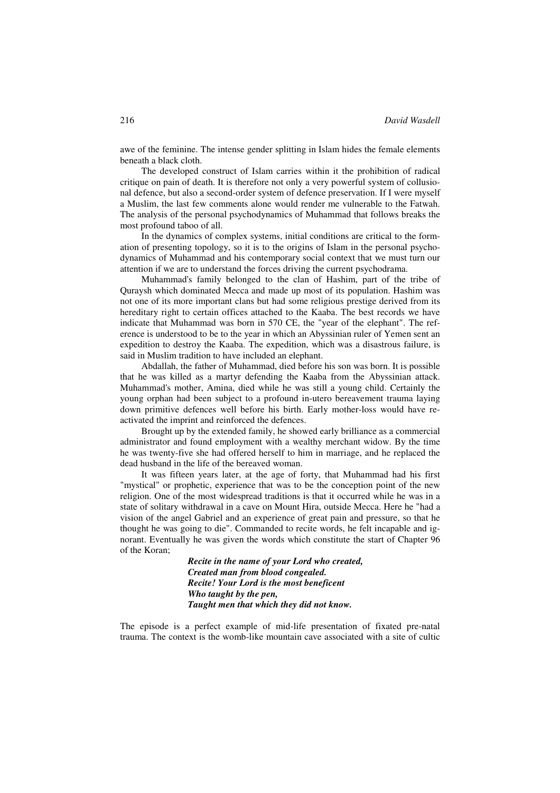awe of the feminine. The intense gender splitting in Islam hides the female elements beneath a black cloth.

The developed construct of Islam carries within it the prohibition of radical critique on pain of death. It is therefore not only a very powerful system of collusional defence, but also a second-order system of defence preservation. If I were myself a Muslim, the last few comments alone would render me vulnerable to the Fatwah. The analysis of the personal psychodynamics of Muhammad that follows breaks the most profound taboo of all.

In the dynamics of complex systems, initial conditions are critical to the formation of presenting topology, so it is to the origins of Islam in the personal psychodynamics of Muhammad and his contemporary social context that we must turn our attention if we are to understand the forces driving the current psychodrama.

Muhammad's family belonged to the clan of Hashim, part of the tribe of Quraysh which dominated Mecca and made up most of its population. Hashim was not one of its more important clans but had some religious prestige derived from its hereditary right to certain offices attached to the Kaaba. The best records we have indicate that Muhammad was born in 570 CE, the "year of the elephant". The reference is understood to be to the year in which an Abyssinian ruler of Yemen sent an expedition to destroy the Kaaba. The expedition, which was a disastrous failure, is said in Muslim tradition to have included an elephant.

Abdallah, the father of Muhammad, died before his son was born. It is possible that he was killed as a martyr defending the Kaaba from the Abyssinian attack. Muhammad's mother, Amina, died while he was still a young child. Certainly the young orphan had been subject to a profound in-utero bereavement trauma laying down primitive defences well before his birth. Early mother-loss would have reactivated the imprint and reinforced the defences.

Brought up by the extended family, he showed early brilliance as a commercial administrator and found employment with a wealthy merchant widow. By the time he was twenty-five she had offered herself to him in marriage, and he replaced the dead husband in the life of the bereaved woman.

It was fifteen years later, at the age of forty, that Muhammad had his first "mystical" or prophetic, experience that was to be the conception point of the new religion. One of the most widespread traditions is that it occurred while he was in a state of solitary withdrawal in a cave on Mount Hira, outside Mecca. Here he "had a vision of the angel Gabriel and an experience of great pain and pressure, so that he thought he was going to die". Commanded to recite words, he felt incapable and ignorant. Eventually he was given the words which constitute the start of Chapter 96 of the Koran;

> *Recite in the name of your Lord who created, Created man from blood congealed. Recite! Your Lord is the most beneficent Who taught by the pen, Taught men that which they did not know.*

The episode is a perfect example of mid-life presentation of fixated pre-natal trauma. The context is the womb-like mountain cave associated with a site of cultic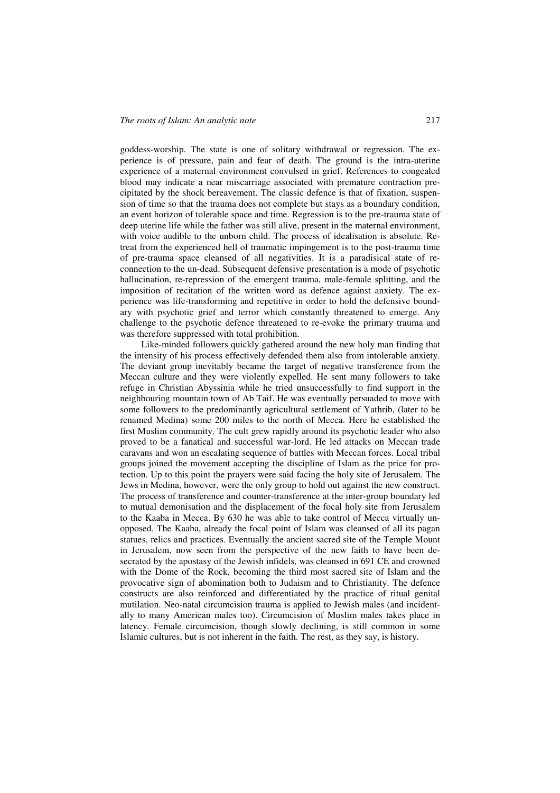goddess-worship. The state is one of solitary withdrawal or regression. The experience is of pressure, pain and fear of death. The ground is the intra-uterine experience of a maternal environment convulsed in grief. References to congealed blood may indicate a near miscarriage associated with premature contraction precipitated by the shock bereavement. The classic defence is that of fixation, suspension of time so that the trauma does not complete but stays as a boundary condition, an event horizon of tolerable space and time. Regression is to the pre-trauma state of deep uterine life while the father was still alive, present in the maternal environment, with voice audible to the unborn child. The process of idealisation is absolute. Retreat from the experienced hell of traumatic impingement is to the post-trauma time of pre-trauma space cleansed of all negativities. It is a paradisical state of reconnection to the un-dead. Subsequent defensive presentation is a mode of psychotic hallucination, re-repression of the emergent trauma, male-female splitting, and the imposition of recitation of the written word as defence against anxiety. The experience was life-transforming and repetitive in order to hold the defensive boundary with psychotic grief and terror which constantly threatened to emerge. Any challenge to the psychotic defence threatened to re-evoke the primary trauma and was therefore suppressed with total prohibition.

Like-minded followers quickly gathered around the new holy man finding that the intensity of his process effectively defended them also from intolerable anxiety. The deviant group inevitably became the target of negative transference from the Meccan culture and they were violently expelled. He sent many followers to take refuge in Christian Abyssinia while he tried unsuccessfully to find support in the neighbouring mountain town of Ab Taif. He was eventually persuaded to move with some followers to the predominantly agricultural settlement of Yathrib, (later to be renamed Medina) some 200 miles to the north of Mecca. Here he established the first Muslim community. The cult grew rapidly around its psychotic leader who also proved to be a fanatical and successful war-lord. He led attacks on Meccan trade caravans and won an escalating sequence of battles with Meccan forces. Local tribal groups joined the movement accepting the discipline of Islam as the price for protection. Up to this point the prayers were said facing the holy site of Jerusalem. The Jews in Medina, however, were the only group to hold out against the new construct. The process of transference and counter-transference at the inter-group boundary led to mutual demonisation and the displacement of the focal holy site from Jerusalem to the Kaaba in Mecca. By 630 he was able to take control of Mecca virtually unopposed. The Kaaba, already the focal point of Islam was cleansed of all its pagan statues, relics and practices. Eventually the ancient sacred site of the Temple Mount in Jerusalem, now seen from the perspective of the new faith to have been desecrated by the apostasy of the Jewish infidels, was cleansed in 691 CE and crowned with the Dome of the Rock, becoming the third most sacred site of Islam and the provocative sign of abomination both to Judaism and to Christianity. The defence constructs are also reinforced and differentiated by the practice of ritual genital mutilation. Neo-natal circumcision trauma is applied to Jewish males (and incidentally to many American males too). Circumcision of Muslim males takes place in latency. Female circumcision, though slowly declining, is still common in some Islamic cultures, but is not inherent in the faith. The rest, as they say, is history.